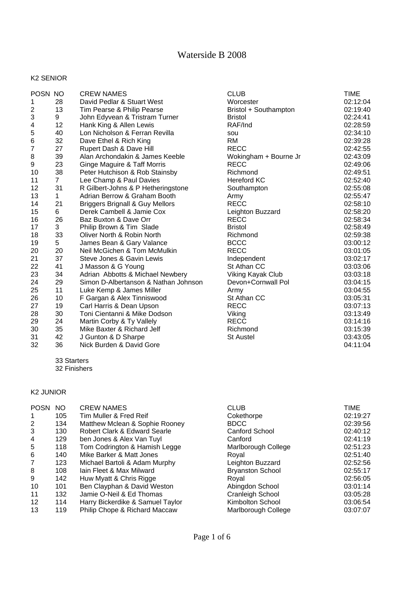#### K2 SENIOR

| POSN NO          |                | <b>CREW NAMES</b>                          | <b>CLUB</b>           | TIME     |
|------------------|----------------|--------------------------------------------|-----------------------|----------|
| 1                | 28             | David Pedlar & Stuart West                 | Worcester             | 02:12:04 |
| $\boldsymbol{2}$ | 13             | Tim Pearse & Philip Pearse                 | Bristol + Southampton | 02:19:40 |
| 3                | 9              | John Edyvean & Tristram Turner             | <b>Bristol</b>        | 02:24:41 |
| 4                | 12             | Hank King & Allen Lewis                    | RAF/Ind               | 02:28:59 |
| 5                | 40             | Lon Nicholson & Ferran Revilla             | sou                   | 02:34:10 |
| 6                | 32             | Dave Ethel & Rich King                     | <b>RM</b>             | 02:39:28 |
| $\overline{7}$   | 27             | Rupert Dash & Dave Hill                    | <b>RECC</b>           | 02:42:55 |
| 8                | 39             | Alan Archondakin & James Keeble            | Wokingham + Bourne Jr | 02:43:09 |
| 9                | 23             | Ginge Maguire & Taff Morris                | <b>RECC</b>           | 02:49:06 |
| 10               | 38             | Peter Hutchison & Rob Stainsby             | Richmond              | 02:49:51 |
| 11               | $\overline{7}$ | Lee Champ & Paul Davies                    | <b>Hereford KC</b>    | 02:52:40 |
| 12               | 31             | R Gilbert-Johns & P Hetheringstone         | Southampton           | 02:55:08 |
| 13               | 1              | Adrian Berrow & Graham Booth               | Army                  | 02:55:47 |
| 14               | 21             | <b>Briggers Brignall &amp; Guy Mellors</b> | <b>RECC</b>           | 02:58:10 |
| 15               | 6              | Derek Cambell & Jamie Cox                  | Leighton Buzzard      | 02:58:20 |
| 16               | 26             | Baz Buxton & Dave Orr                      | <b>RECC</b>           | 02:58:34 |
| 17               | 3              | Philip Brown & Tim Slade                   | <b>Bristol</b>        | 02:58:49 |
| 18               | 33             | Oliver North & Robin North                 | Richmond              | 02:59:38 |
| 19               | 5              | James Bean & Gary Valance                  | <b>BCCC</b>           | 03:00:12 |
| 20               | 20             | Neil McGichen & Tom McMulkin               | <b>RECC</b>           | 03:01:05 |
| 21               | 37             | Steve Jones & Gavin Lewis                  | Independent           | 03:02:17 |
| 22               | 41             | J Masson & G Young                         | St Athan CC           | 03:03:06 |
| 23               | 34             | Adrian Abbotts & Michael Newbery           | Viking Kayak Club     | 03:03:18 |
| 24               | 29             | Simon D-Albertanson & Nathan Johnson       | Devon+Cornwall Pol    | 03:04:15 |
| 25               | 11             | Luke Kemp & James Miller                   | Army                  | 03:04:55 |
| 26               | 10             | F Gargan & Alex Tinniswood                 | St Athan CC           | 03:05:31 |
| 27               | 19             | Carl Harris & Dean Upson                   | <b>RECC</b>           | 03:07:13 |
| 28               | 30             | Toni Cientanni & Mike Dodson               | Viking                | 03:13:49 |
| 29               | 24             | Martin Corby & Ty Vallely                  | <b>RECC</b>           | 03:14:16 |
| 30               | 35             | Mike Baxter & Richard Jelf                 | Richmond              | 03:15:39 |
| 31               | 42             | J Gunton & D Sharpe                        | <b>St Austel</b>      | 03:43:05 |
| 32               | 36             | Nick Burden & David Gore                   |                       | 04:11:04 |

33 Starters

32 Finishers

### K2 JUNIOR

| POSN NO     |     | <b>CREW NAMES</b>                | <b>CLUB</b>             | <b>TIME</b> |
|-------------|-----|----------------------------------|-------------------------|-------------|
| $\mathbf 1$ | 105 | Tim Muller & Fred Reif           | Cokethorpe              | 02:19:27    |
| 2           | 134 | Matthew Mclean & Sophie Rooney   | <b>BDCC</b>             | 02:39:56    |
| 3           | 130 | Robert Clark & Edward Searle     | <b>Canford School</b>   | 02:40:12    |
| 4           | 129 | ben Jones & Alex Van Tuyl        | Canford                 | 02:41:19    |
| 5           | 118 | Tom Codrington & Hamish Legge    | Marlborough College     | 02:51:23    |
| 6           | 140 | Mike Barker & Matt Jones         | Roval                   | 02:51:40    |
| 7           | 123 | Michael Bartoli & Adam Murphy    | Leighton Buzzard        | 02:52:56    |
| 8           | 108 | Jain Fleet & Max Milward         | <b>Bryanston School</b> | 02:55:17    |
| 9           | 142 | Huw Myatt & Chris Rigge          | Roval                   | 02:56:05    |
| 10          | 101 | Ben Clayphan & David Weston      | Abingdon School         | 03:01:14    |
| 11          | 132 | Jamie O-Neil & Ed Thomas         | Cranleigh School        | 03:05:28    |
| $12 \,$     | 114 | Harry Bickerdike & Samuel Taylor | Kimbolton School        | 03:06:54    |
| 13          | 119 | Philip Chope & Richard Maccaw    | Marlborough College     | 03:07:07    |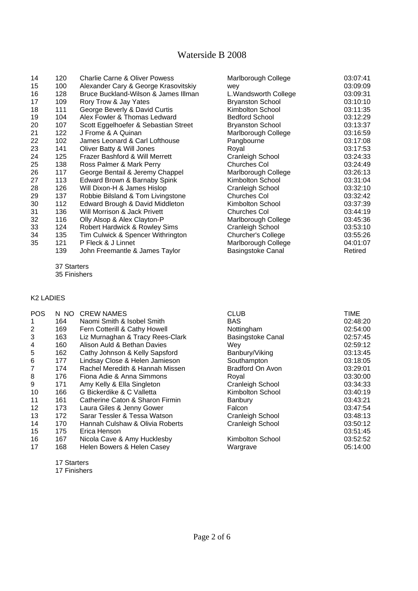| 120 | <b>Charlie Carne &amp; Oliver Powess</b> | Marlborough College      | 03:07:41 |
|-----|------------------------------------------|--------------------------|----------|
| 100 | Alexander Cary & George Krasovitskiy     | wey                      | 03:09:09 |
| 128 | Bruce Buckland-Wilson & James Illman     | L. Wandsworth College    | 03:09:31 |
| 109 | Rory Trow & Jay Yates                    | <b>Bryanston School</b>  | 03:10:10 |
| 111 | George Beverly & David Curtis            | Kimbolton School         | 03:11:35 |
| 104 | Alex Fowler & Thomas Ledward             | <b>Bedford School</b>    | 03:12:29 |
| 107 | Scott Eggelhoefer & Sebastian Street     | <b>Bryanston School</b>  | 03:13:37 |
| 122 | J Frome & A Quinan                       | Marlborough College      | 03:16:59 |
| 102 | James Leonard & Carl Lofthouse           | Pangbourne               | 03:17:08 |
| 141 | Oliver Batty & Will Jones                | Royal                    | 03:17:53 |
| 125 | Frazer Bashford & Will Merrett           | <b>Cranleigh School</b>  | 03:24:33 |
| 138 | Ross Palmer & Mark Perry                 | <b>Churches Col</b>      | 03:24:49 |
| 117 | George Bentail & Jeremy Chappel          | Marlborough College      | 03:26:13 |
| 113 | Edward Brown & Barnaby Spink             | Kimbolton School         | 03:31:04 |
| 126 | Will Dixon-H & James Hislop              | <b>Cranleigh School</b>  | 03:32:10 |
| 137 | Robbie Bilsland & Tom Livingstone        | Churches Col             | 03:32:42 |
| 112 | Edward Brough & David Middleton          | Kimbolton School         | 03:37:39 |
| 136 | Will Morrison & Jack Privett             | Churches Col             | 03:44:19 |
| 116 | Olly Alsop & Alex Clayton-P              | Marlborough College      | 03:45:36 |
| 124 | Robert Hardwick & Rowley Sims            | Cranleigh School         | 03:53:10 |
| 135 | Tim Culwick & Spencer Withrington        | Churcher's College       | 03:55:26 |
| 121 | P Fleck & J Linnet                       | Marlborough College      | 04:01:07 |
| 139 | John Freemantle & James Taylor           | <b>Basingstoke Canal</b> | Retired  |
|     |                                          |                          |          |

37 Starters

35 Finishers

#### K2 LADIES

| <b>POS</b>     | N NO | <b>CREW NAMES</b>                | <b>CLUB</b>              | <b>TIME</b> |
|----------------|------|----------------------------------|--------------------------|-------------|
| 1              | 164  | Naomi Smith & Isobel Smith       | <b>BAS</b>               | 02:48:20    |
| $\overline{2}$ | 169  | Fern Cotterill & Cathy Howell    | Nottingham               | 02:54:00    |
| 3              | 163  | Liz Murnaghan & Tracy Rees-Clark | <b>Basingstoke Canal</b> | 02:57:45    |
| 4              | 160  | Alison Auld & Bethan Davies      | Wev                      | 02:59:12    |
| 5              | 162  | Cathy Johnson & Kelly Sapsford   | Banbury/Viking           | 03:13:45    |
| 6              | 177  | Lindsay Close & Helen Jamieson   | Southampton              | 03:18:05    |
| 7              | 174  | Rachel Meredith & Hannah Missen  | Bradford On Avon         | 03:29:01    |
| 8              | 176  | Fiona Adie & Anna Simmons        | Roval                    | 03:30:00    |
| 9              | 171  | Amy Kelly & Ella Singleton       | Cranleigh School         | 03:34:33    |
| 10             | 166  | G Bickerdike & C Valletta        | Kimbolton School         | 03:40:19    |
| 11             | 161  | Catherine Caton & Sharon Firmin  | <b>Banbury</b>           | 03:43:21    |
| 12             | 173  | Laura Giles & Jenny Gower        | Falcon                   | 03:47:54    |
| 13             | 172  | Sarar Tessler & Tessa Watson     | Cranleigh School         | 03:48:13    |
| 14             | 170  | Hannah Culshaw & Olivia Roberts  | Cranleigh School         | 03:50:12    |
| 15             | 175  | Erica Henson                     |                          | 03:51:45    |
| 16             | 167  | Nicola Cave & Amy Hucklesby      | Kimbolton School         | 03:52:52    |
| 17             | 168  | Helen Bowers & Helen Casey       | Wargrave                 | 05:14:00    |

17 Starters

17 Finishers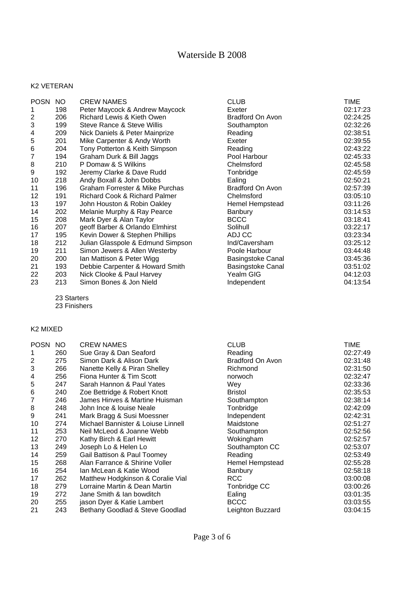#### K2 VETERAN

| <b>POSN</b>    | NO. | <b>CREW NAMES</b>                 | <b>CLUB</b>              | TIME     |
|----------------|-----|-----------------------------------|--------------------------|----------|
| 1              | 198 | Peter Maycock & Andrew Maycock    | Exeter                   | 02:17:23 |
| 2              | 206 | Richard Lewis & Kieth Owen        | Bradford On Avon         | 02:24:25 |
| 3              | 199 | Steve Rance & Steve Willis        | Southampton              | 02:32:26 |
| 4              | 209 | Nick Daniels & Peter Mainprize    | Reading                  | 02:38:51 |
| 5              | 201 | Mike Carpenter & Andy Worth       | Exeter                   | 02:39:55 |
| 6              | 204 | Tony Potterton & Keith Simpson    | Reading                  | 02:43:22 |
| $\overline{7}$ | 194 | Graham Durk & Bill Jaggs          | Pool Harbour             | 02:45:33 |
| 8              | 210 | P Domaw & S Wilkins               | Chelmsford               | 02:45:58 |
| 9              | 192 | Jeremy Clarke & Dave Rudd         | Tonbridge                | 02:45:59 |
| 10             | 218 | Andy Boxall & John Dobbs          | Ealing                   | 02:50:21 |
| 11             | 196 | Graham Forrester & Mike Purchas   | Bradford On Avon         | 02:57:39 |
| 12             | 191 | Richard Cook & Richard Palmer     | Chelmsford               | 03:05:10 |
| 13             | 197 | John Houston & Robin Oakley       | Hemel Hempstead          | 03:11:26 |
| 14             | 202 | Melanie Murphy & Ray Pearce       | Banbury                  | 03:14:53 |
| 15             | 208 | Mark Dyer & Alan Taylor           | <b>BCCC</b>              | 03:18:41 |
| 16             | 207 | geoff Barber & Orlando Elmhirst   | Solihull                 | 03:22:17 |
| 17             | 195 | Kevin Dower & Stephen Phillips    | ADJ CC                   | 03:23:34 |
| 18             | 212 | Julian Glasspole & Edmund Simpson | Ind/Caversham            | 03:25:12 |
| 19             | 211 | Simon Jewers & Allen Westerby     | Poole Harbour            | 03:44:48 |
| 20             | 200 | Ian Mattison & Peter Wigg         | Basingstoke Canal        | 03:45:36 |
| 21             | 193 | Debbie Carpenter & Howard Smith   | <b>Basingstoke Canal</b> | 03:51:02 |
| 22             | 203 | Nick Clooke & Paul Harvey         | Yealm GIG                | 04:12:03 |
| 23             | 213 | Simon Bones & Jon Nield           | Independent              | 04:13:54 |

23 Starters

23 Finishers

### K2 MIXED

| POSN NO |     | <b>CREW NAMES</b>                  | <b>CLUB</b>      | <b>TIME</b> |
|---------|-----|------------------------------------|------------------|-------------|
| 1       | 260 | Sue Gray & Dan Seaford             | Reading          | 02:27:49    |
| 2       | 275 | Simon Dark & Alison Dark           | Bradford On Avon | 02:31:48    |
| 3       | 266 | Nanette Kelly & Piran Shelley      | Richmond         | 02:31:50    |
| 4       | 256 | Fiona Hunter & Tim Scott           | norwoch          | 02:32:47    |
| 5       | 247 | Sarah Hannon & Paul Yates          | Wev              | 02:33:36    |
| 6       | 240 | Zoe Bettridge & Robert Knott       | <b>Bristol</b>   | 02:35:53    |
| 7       | 246 | James Hinves & Martine Huisman     | Southampton      | 02:38:14    |
| 8       | 248 | John Ince & louise Neale           | Tonbridge        | 02:42:09    |
| 9       | 241 | Mark Bragg & Susi Moessner         | Independent      | 02:42:31    |
| 10      | 274 | Michael Bannister & Loiuse Linnell | Maidstone        | 02:51:27    |
| 11      | 253 | Neil McLeod & Joanne Webb          | Southampton      | 02:52:56    |
| 12      | 270 | Kathy Birch & Earl Hewitt          | Wokingham        | 02:52:57    |
| 13      | 249 | Joseph Lo & Helen Lo               | Southampton CC   | 02:53:07    |
| 14      | 259 | Gail Battison & Paul Toomey        | Reading          | 02:53:49    |
| 15      | 268 | Alan Farrance & Shirine Voller     | Hemel Hempstead  | 02:55:28    |
| 16      | 254 | Ian McLean & Katie Wood            | <b>Banbury</b>   | 02:58:18    |
| 17      | 262 | Matthew Hodgkinson & Coralie Vial  | <b>RCC</b>       | 03:00:08    |
| 18      | 279 | Lorraine Martin & Dean Martin      | Tonbridge CC     | 03:00:26    |
| 19      | 272 | Jane Smith & Ian bowditch          | Ealing           | 03:01:35    |
| 20      | 255 | jason Dyer & Katie Lambert         | <b>BCCC</b>      | 03:03:55    |
| 21      | 243 | Bethany Goodlad & Steve Goodlad    | Leighton Buzzard | 03:04:15    |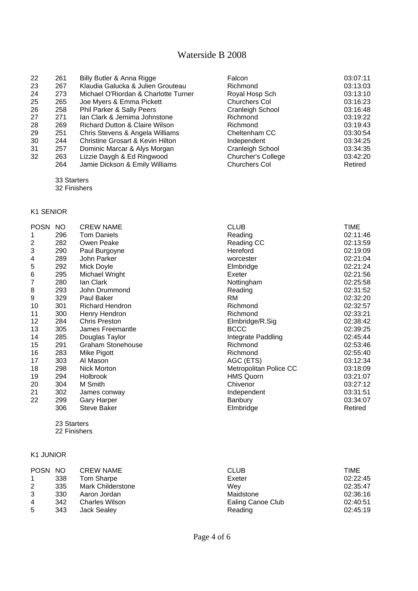| 22 | 261 | Billy Butler & Anna Rigge                 | Falcon                  | 03:07:11 |
|----|-----|-------------------------------------------|-------------------------|----------|
| 23 | 267 | Klaudia Galucka & Julien Grouteau         | Richmond                | 03:13:03 |
| 24 | 273 | Michael O'Riordan & Charlotte Turner      | Royal Hosp Sch          | 03:13:10 |
| 25 | 265 | Joe Myers & Emma Pickett                  | <b>Churchers Col</b>    | 03:16:23 |
| 26 | 258 | Phil Parker & Sally Peers                 | <b>Cranleigh School</b> | 03:16:48 |
| 27 | 271 | Ian Clark & Jemima Johnstone              | Richmond                | 03:19:22 |
| 28 | 269 | <b>Richard Dutton &amp; Claire Wilson</b> | Richmond                | 03:19:43 |
| 29 | 251 | Chris Stevens & Angela Williams           | Cheltenham CC           | 03:30:54 |
| 30 | 244 | Christine Grosart & Kevin Hilton          | Independent             | 03:34:25 |
| 31 | 257 | Dominic Marcar & Alys Morgan              | Cranleigh School        | 03:34:35 |
| 32 | 263 | Lizzie Daygh & Ed Ringwood                | Churcher's College      | 03:42:20 |
|    | 264 | Jamie Dickson & Emily Williams            | <b>Churchers Col</b>    | Retired  |

33 Starters

32 Finishers

### K1 SENIOR

| <b>POSN</b>      | NO  | <b>CREW NAME</b>         | <b>CLUB</b>            | TIME     |
|------------------|-----|--------------------------|------------------------|----------|
| 1                | 296 | <b>Tom Daniels</b>       | Reading                | 02:11:46 |
| $\boldsymbol{2}$ | 282 | Owen Peake               | Reading CC             | 02:13:59 |
| 3                | 290 | Paul Burgoyne            | Hereford               | 02:19:09 |
| 4                | 289 | John Parker              | worcester              | 02:21:04 |
| 5                | 292 | Mick Doyle               | Elmbridge              | 02:21:24 |
| 6                | 295 | Michael Wright           | Exeter                 | 02:21:56 |
| 7                | 280 | lan Clark                | Nottingham             | 02:25:58 |
| 8                | 293 | John Drummond            | Reading                | 02:31:52 |
| 9                | 329 | Paul Baker               | RM                     | 02:32:20 |
| 10               | 301 | <b>Richard Hendron</b>   | Richmond               | 02:32:57 |
| 11               | 300 | Henry Hendron            | Richmond               | 02:33:21 |
| 12               | 284 | <b>Chris Preston</b>     | Elmbridge/R.Sig        | 02:38:42 |
| 13               | 305 | James Freemantle         | <b>BCCC</b>            | 02:39:25 |
| 14               | 285 | Douglas Taylor           | Integrate Paddling     | 02:45:44 |
| 15               | 291 | <b>Graham Stonehouse</b> | Richmond               | 02:53:46 |
| 16               | 283 | Mike Pigott              | Richmond               | 02:55:40 |
| 17               | 303 | Al Mason                 | AGC (ETS)              | 03:12:34 |
| 18               | 298 | Nick Morton              | Metropolitan Police CC | 03:18:09 |
| 19               | 294 | Holbrook                 | <b>HMS Quorn</b>       | 03:21:07 |
| 20               | 304 | M Smith                  | Chivenor               | 03:27:12 |
| 21               | 302 | James conway             | Independent            | 03:31:51 |
| 22               | 299 | <b>Gary Harper</b>       | Banbury                | 03:34:07 |
|                  | 306 | <b>Steve Baker</b>       | Elmbridge              | Retired  |

 23 Starters 22 Finishers

#### K1 JUNIOR

| POSN NO        |     | <b>CREW NAME</b>      | <b>CLUB</b>       | TIME     |
|----------------|-----|-----------------------|-------------------|----------|
|                | 338 | Tom Sharpe            | Exeter            | 02:22:45 |
| 2              | 335 | Mark Childerstone     | Wev               | 02:35:47 |
| 3              | 330 | Aaron Jordan          | Maidstone         | 02:36:16 |
| $\overline{4}$ | 342 | <b>Charles Wilson</b> | Ealing Canoe Club | 02:40:51 |
| 5              | 343 | Jack Sealey           | Reading           | 02:45:19 |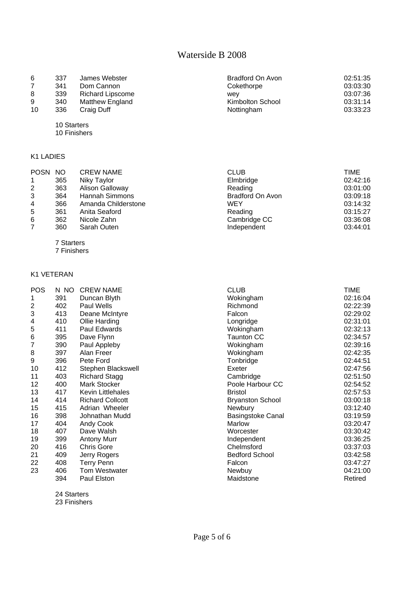| 6<br>8<br>9 | 337<br>341<br>339<br>340 | James Webster<br>Dom Cannon<br><b>Richard Lipscome</b><br>Matthew England | Bradford On Avon<br>Cokethorpe<br>wev<br>Kimbolton School | 02:51:35<br>03:03:30<br>03:07:36<br>03:31:14 |
|-------------|--------------------------|---------------------------------------------------------------------------|-----------------------------------------------------------|----------------------------------------------|
| 10          | 336                      | Craig Duff                                                                | Nottingham                                                | 03:33:23                                     |

10 Starters

10 Finishers

#### K1 LADIES

| POSN NO        |     | <b>CREW NAME</b>    | <b>CLUB</b>      | TIME     |
|----------------|-----|---------------------|------------------|----------|
| $\mathbf{1}$   | 365 | Niky Taylor         | Elmbridge        | 02:42:16 |
| $\overline{2}$ | 363 | Alison Galloway     | Reading          | 03:01:00 |
| 3              | 364 | Hannah Simmons      | Bradford On Avon | 03:09:18 |
| $\overline{4}$ | 366 | Amanda Childerstone | WEY              | 03:14:32 |
| 5              | 361 | Anita Seaford       | Reading          | 03:15:27 |
| 6              | 362 | Nicole Zahn         | Cambridge CC     | 03:36:08 |
| $\overline{7}$ | 360 | Sarah Outen         | Independent      | 03:44:01 |

7 Starters

7 Finishers

### K1 VETERAN

| <b>POS</b>     | N NO | <b>CREW NAME</b>         | <b>CLUB</b>              | TIME     |
|----------------|------|--------------------------|--------------------------|----------|
| 1              | 391  | Duncan Blyth             | Wokingham                | 02:16:04 |
| $\overline{2}$ | 402  | Paul Wells               | Richmond                 | 02:22:39 |
| 3              | 413  | Deane McIntyre           | Falcon                   | 02:29:02 |
| 4              | 410  | Ollie Harding            | Longridge                | 02:31:01 |
| 5              | 411  | Paul Edwards             | Wokingham                | 02:32:13 |
| 6              | 395  | Dave Flynn               | Taunton CC               | 02:34:57 |
| 7              | 390  | Paul Appleby             | Wokingham                | 02:39:16 |
| 8              | 397  | Alan Freer               | Wokingham                | 02:42:35 |
| 9              | 396  | Pete Ford                | Tonbridge                | 02:44:51 |
| 10             | 412  | Stephen Blackswell       | Exeter                   | 02:47:56 |
| 11             | 403  | <b>Richard Stagg</b>     | Cambridge                | 02:51:50 |
| 12             | 400  | Mark Stocker             | Poole Harbour CC         | 02:54:52 |
| 13             | 417  | <b>Kevin Littlehales</b> | <b>Bristol</b>           | 02:57:53 |
| 14             | 414  | <b>Richard Collcott</b>  | <b>Bryanston School</b>  | 03:00:18 |
| 15             | 415  | Adrian Wheeler           | Newbury                  | 03:12:40 |
| 16             | 398  | Johnathan Mudd           | <b>Basingstoke Canal</b> | 03:19:59 |
| 17             | 404  | Andy Cook                | Marlow                   | 03:20:47 |
| 18             | 407  | Dave Walsh               | Worcester                | 03:30:42 |
| 19             | 399  | <b>Antony Murr</b>       | Independent              | 03:36:25 |
| 20             | 416  | <b>Chris Gore</b>        | Chelmsford               | 03:37:03 |
| 21             | 409  | Jerry Rogers             | <b>Bedford School</b>    | 03:42:58 |
| 22             | 408  | <b>Terry Penn</b>        | Falcon                   | 03:47:27 |
| 23             | 406  | <b>Tom Westwater</b>     | Newbuy                   | 04:21:00 |
|                | 394  | Paul Elston              | Maidstone                | Retired  |

24 Starters

23 Finishers